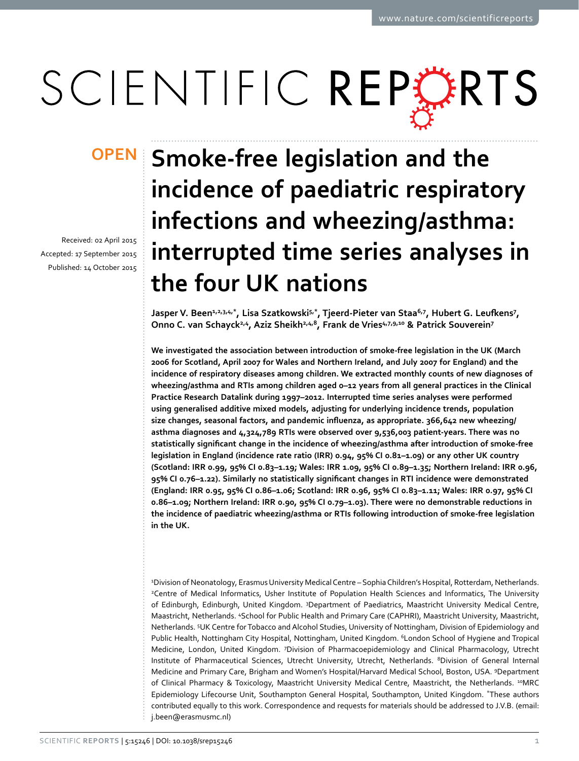# SCIENTIFIC REPERTS

received: 02 April 2015 accepted: 17 September 2015 Published: 14 October 2015

## **Smoke-free legislation and the OPENincidence of paediatric respiratory infections and wheezing/asthma: interrupted time series analyses in the four UK nations**

**Jasper V. Been1,2,3,4,\*, Lisa Szatkowski5,\*, Tjeerd-Pieter van Staa6,7 , Hubert G. Leufkens<sup>7</sup> , Onno C. van Schayck2,4, Aziz Sheikh2,4,8, Frank de Vries4,7,9,10 & Patrick Souverein7**

**We investigated the association between introduction of smoke-free legislation in the UK (March 2006 for Scotland, April 2007 for Wales and Northern Ireland, and July 2007 for England) and the incidence of respiratory diseases among children. We extracted monthly counts of new diagnoses of wheezing/asthma and RTIs among children aged 0–12 years from all general practices in the Clinical Practice Research Datalink during 1997–2012. Interrupted time series analyses were performed using generalised additive mixed models, adjusting for underlying incidence trends, population size changes, seasonal factors, and pandemic influenza, as appropriate. 366,642 new wheezing/ asthma diagnoses and 4,324,789 RTIs were observed over 9,536,003 patient-years. There was no statistically significant change in the incidence of wheezing/asthma after introduction of smoke-free legislation in England (incidence rate ratio (IRR) 0.94, 95% CI 0.81–1.09) or any other UK country (Scotland: IRR 0.99, 95% CI 0.83–1.19; Wales: IRR 1.09, 95% CI 0.89–1.35; Northern Ireland: IRR 0.96, 95% CI 0.76–1.22). Similarly no statistically significant changes in RTI incidence were demonstrated (England: IRR 0.95, 95% CI 0.86–1.06; Scotland: IRR 0.96, 95% CI 0.83–1.11; Wales: IRR 0.97, 95% CI 0.86–1.09; Northern Ireland: IRR 0.90, 95% CI 0.79–1.03). There were no demonstrable reductions in the incidence of paediatric wheezing/asthma or RTIs following introduction of smoke-free legislation in the UK.**

1 Division of Neonatology, Erasmus University Medical Centre – Sophia Children's Hospital, Rotterdam, Netherlands. 2 Centre of Medical Informatics, Usher Institute of Population Health Sciences and Informatics, The University of Edinburgh, Edinburgh, United Kingdom. <sup>3</sup>Department of Paediatrics, Maastricht University Medical Centre, Maastricht, Netherlands. 4 School for Public Health and Primary Care (CAPHRI), Maastricht University, Maastricht, Netherlands. 5 UK Centre for Tobacco and Alcohol Studies, University of Nottingham, Division of Epidemiology and Public Health, Nottingham City Hospital, Nottingham, United Kingdom. <sup>6</sup>London School of Hygiene and Tropical Medicine, London, United Kingdom. 7 Division of Pharmacoepidemiology and Clinical Pharmacology, Utrecht Institute of Pharmaceutical Sciences, Utrecht University, Utrecht, Netherlands. <sup>8</sup>Division of General Internal Medicine and Primary Care, Brigham and Women's Hospital/Harvard Medical School, Boston, USA. 9Department of Clinical Pharmacy & Toxicology, Maastricht University Medical Centre, Maastricht, the Netherlands. <sup>10</sup>MRC Epidemiology Lifecourse Unit, Southampton General Hospital, Southampton, United Kingdom. \*These authors contributed equally to this work. Correspondence and requests for materials should be addressed to J.V.B. (email: [j.been@erasmusmc.nl](mailto:j.been@erasmusmc.nl))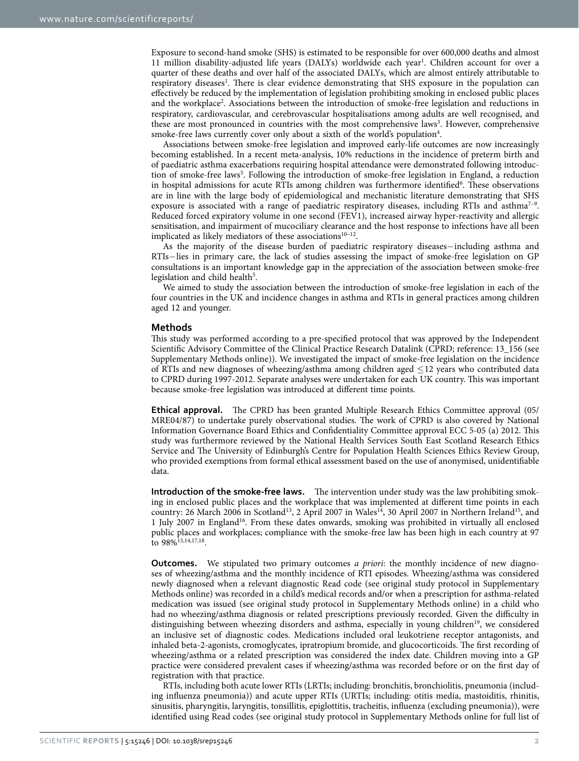Exposure to second-hand smoke (SHS) is estimated to be responsible for over 600,000 deaths and almost 11 million disability-adjusted life years (DALYs) worldwide each year<sup>1</sup>. Children account for over a quarter of these deaths and over half of the associated DALYs, which are almost entirely attributable to respiratory diseases<sup>1</sup>. There is clear evidence demonstrating that SHS exposure in the population can effectively be reduced by the implementation of legislation prohibiting smoking in enclosed public places and the workplace<sup>2</sup>. Associations between the introduction of smoke-free legislation and reductions in respiratory, cardiovascular, and cerebrovascular hospitalisations among adults are well recognised, and these are most pronounced in countries with the most comprehensive laws<sup>[3](#page-8-2)</sup>. However, comprehensive smoke-free laws currently cover only about a sixth of the world's population<sup>4</sup>.

Associations between smoke-free legislation and improved early-life outcomes are now increasingly becoming established. In a recent meta-analysis, 10% reductions in the incidence of preterm birth and of paediatric asthma exacerbations requiring hospital attendance were demonstrated following introduction of smoke-free laws<sup>5</sup>. Following the introduction of smoke-free legislation in England, a reduction in hospital admissions for acute RTIs among children was furthermore identified<sup>[6](#page-8-5)</sup>. These observations are in line with the large body of epidemiological and mechanistic literature demonstrating that SHS exposure is associated with a range of paediatric respiratory diseases, including RTIs and asthma<sup>7-9</sup>. Reduced forced expiratory volume in one second (FEV1), increased airway hyper-reactivity and allergic sensitisation, and impairment of mucociliary clearance and the host response to infections have all been implicated as likely mediators of these associations $10-12$ .

As the majority of the disease burden of paediatric respiratory diseases−including asthma and RTIs−lies in primary care, the lack of studies assessing the impact of smoke-free legislation on GP consultations is an important knowledge gap in the appreciation of the association between smoke-free legislation and child health<sup>[5](#page-8-4)</sup>.

We aimed to study the association between the introduction of smoke-free legislation in each of the four countries in the UK and incidence changes in asthma and RTIs in general practices among children aged 12 and younger.

### **Methods**

This study was performed according to a pre-specified protocol that was approved by the Independent Scientific Advisory Committee of the Clinical Practice Research Datalink (CPRD; reference: 13\_156 (see Supplementary Methods online)). We investigated the impact of smoke-free legislation on the incidence of RTIs and new diagnoses of wheezing/asthma among children aged ≤12 years who contributed data to CPRD during 1997-2012. Separate analyses were undertaken for each UK country. This was important because smoke-free legislation was introduced at different time points.

**Ethical approval.** The CPRD has been granted Multiple Research Ethics Committee approval (05/ MRE04/87) to undertake purely observational studies. The work of CPRD is also covered by National Information Governance Board Ethics and Confidentiality Committee approval ECC 5-05 (a) 2012. This study was furthermore reviewed by the National Health Services South East Scotland Research Ethics Service and The University of Edinburgh's Centre for Population Health Sciences Ethics Review Group, who provided exemptions from formal ethical assessment based on the use of anonymised, unidentifiable data.

**Introduction of the smoke-free laws.** The intervention under study was the law prohibiting smoking in enclosed public places and the workplace that was implemented at different time points in each country: 26 March 2006 in Scotland<sup>13</sup>, 2 April 2007 in Wales<sup>14</sup>, 30 April 2007 in Northern Ireland<sup>15</sup>, and 1 July 2007 in Englan[d16](#page-8-11). From these dates onwards, smoking was prohibited in virtually all enclosed public places and workplaces; compliance with the smoke-free law has been high in each country at 97 to 98%<sup>13,[14,](#page-8-9)[17](#page-8-12)[,18](#page-8-13)</sup>.

**Outcomes.** We stipulated two primary outcomes *a priori*: the monthly incidence of new diagnoses of wheezing/asthma and the monthly incidence of RTI episodes. Wheezing/asthma was considered newly diagnosed when a relevant diagnostic Read code (see original study protocol in Supplementary Methods online) was recorded in a child's medical records and/or when a prescription for asthma-related medication was issued (see original study protocol in Supplementary Methods online) in a child who had no wheezing/asthma diagnosis or related prescriptions previously recorded. Given the difficulty in distinguishing between wheezing disorders and asthma, especially in young children<sup>19</sup>, we considered an inclusive set of diagnostic codes. Medications included oral leukotriene receptor antagonists, and inhaled beta-2-agonists, cromoglycates, ipratropium bromide, and glucocorticoids. The first recording of wheezing/asthma or a related prescription was considered the index date. Children moving into a GP practice were considered prevalent cases if wheezing/asthma was recorded before or on the first day of registration with that practice.

RTIs, including both acute lower RTIs (LRTIs; including: bronchitis, bronchiolitis, pneumonia (including influenza pneumonia)) and acute upper RTIs (URTIs; including: otitis media, mastoiditis, rhinitis, sinusitis, pharyngitis, laryngitis, tonsillitis, epiglottitis, tracheitis, influenza (excluding pneumonia)), were identified using Read codes (see original study protocol in Supplementary Methods online for full list of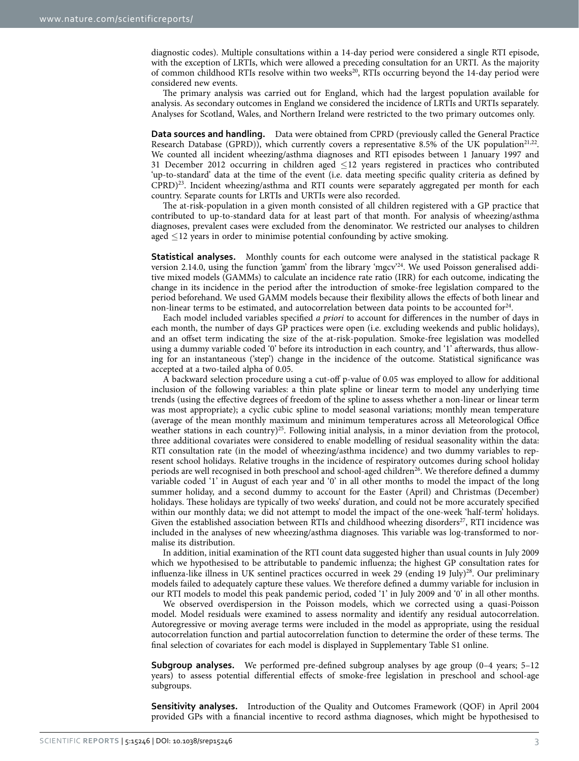diagnostic codes). Multiple consultations within a 14-day period were considered a single RTI episode, with the exception of LRTIs, which were allowed a preceding consultation for an URTI. As the majority of common childhood RTIs resolve within two weeks<sup>20</sup>, RTIs occurring beyond the 14-day period were considered new events.

The primary analysis was carried out for England, which had the largest population available for analysis. As secondary outcomes in England we considered the incidence of LRTIs and URTIs separately. Analyses for Scotland, Wales, and Northern Ireland were restricted to the two primary outcomes only.

**Data sources and handling.** Data were obtained from CPRD (previously called the General Practice Research Database (GPRD)), which currently covers a representative 8.5% of the UK population<sup>21,[22](#page-8-17)</sup>. We counted all incident wheezing/asthma diagnoses and RTI episodes between 1 January 1997 and 31 December 2012 occurring in children aged ≤12 years registered in practices who contributed 'up-to-standard' data at the time of the event (i.e. data meeting specific quality criteria as defined by CPRD[\)23](#page-8-18). Incident wheezing/asthma and RTI counts were separately aggregated per month for each country. Separate counts for LRTIs and URTIs were also recorded.

The at-risk-population in a given month consisted of all children registered with a GP practice that contributed to up-to-standard data for at least part of that month. For analysis of wheezing/asthma diagnoses, prevalent cases were excluded from the denominator. We restricted our analyses to children aged  $\leq$ 12 years in order to minimise potential confounding by active smoking.

**Statistical analyses.** Monthly counts for each outcome were analysed in the statistical package R version 2.14.0, using the function 'gamm' from the library 'mgcv'[24.](#page-8-19) We used Poisson generalised additive mixed models (GAMMs) to calculate an incidence rate ratio (IRR) for each outcome, indicating the change in its incidence in the period after the introduction of smoke-free legislation compared to the period beforehand. We used GAMM models because their flexibility allows the effects of both linear and non-linear terms to be estimated, and autocorrelation between data points to be accounted for<sup>24</sup>.

Each model included variables specified *a priori* to account for differences in the number of days in each month, the number of days GP practices were open (i.e. excluding weekends and public holidays), and an offset term indicating the size of the at-risk-population. Smoke-free legislation was modelled using a dummy variable coded '0' before its introduction in each country, and '1' afterwards, thus allowing for an instantaneous ('step') change in the incidence of the outcome. Statistical significance was accepted at a two-tailed alpha of 0.05.

A backward selection procedure using a cut-off p-value of 0.05 was employed to allow for additional inclusion of the following variables: a thin plate spline or linear term to model any underlying time trends (using the effective degrees of freedom of the spline to assess whether a non-linear or linear term was most appropriate); a cyclic cubic spline to model seasonal variations; monthly mean temperature (average of the mean monthly maximum and minimum temperatures across all Meteorological Office weather stations in each country)<sup>25</sup>. Following initial analysis, in a minor deviation from the protocol, three additional covariates were considered to enable modelling of residual seasonality within the data: RTI consultation rate (in the model of wheezing/asthma incidence) and two dummy variables to represent school holidays. Relative troughs in the incidence of respiratory outcomes during school holiday periods are well recognised in both preschool and school-aged children<sup>26</sup>. We therefore defined a dummy variable coded '1' in August of each year and '0' in all other months to model the impact of the long summer holiday, and a second dummy to account for the Easter (April) and Christmas (December) holidays. These holidays are typically of two weeks' duration, and could not be more accurately specified within our monthly data; we did not attempt to model the impact of the one-week 'half-term' holidays. Given the established association between RTIs and childhood wheezing disorders $27$ , RTI incidence was included in the analyses of new wheezing/asthma diagnoses. This variable was log-transformed to normalise its distribution.

In addition, initial examination of the RTI count data suggested higher than usual counts in July 2009 which we hypothesised to be attributable to pandemic influenza; the highest GP consultation rates for influenza-like illness in UK sentinel practices occurred in week 29 (ending 19 July)<sup>28</sup>. Our preliminary models failed to adequately capture these values. We therefore defined a dummy variable for inclusion in our RTI models to model this peak pandemic period, coded '1' in July 2009 and '0' in all other months.

We observed overdispersion in the Poisson models, which we corrected using a quasi-Poisson model. Model residuals were examined to assess normality and identify any residual autocorrelation. Autoregressive or moving average terms were included in the model as appropriate, using the residual autocorrelation function and partial autocorrelation function to determine the order of these terms. The final selection of covariates for each model is displayed in Supplementary Table S1 online.

**Subgroup analyses.** We performed pre-defined subgroup analyses by age group (0–4 years; 5–12 years) to assess potential differential effects of smoke-free legislation in preschool and school-age subgroups.

**Sensitivity analyses.** Introduction of the Quality and Outcomes Framework (QOF) in April 2004 provided GPs with a financial incentive to record asthma diagnoses, which might be hypothesised to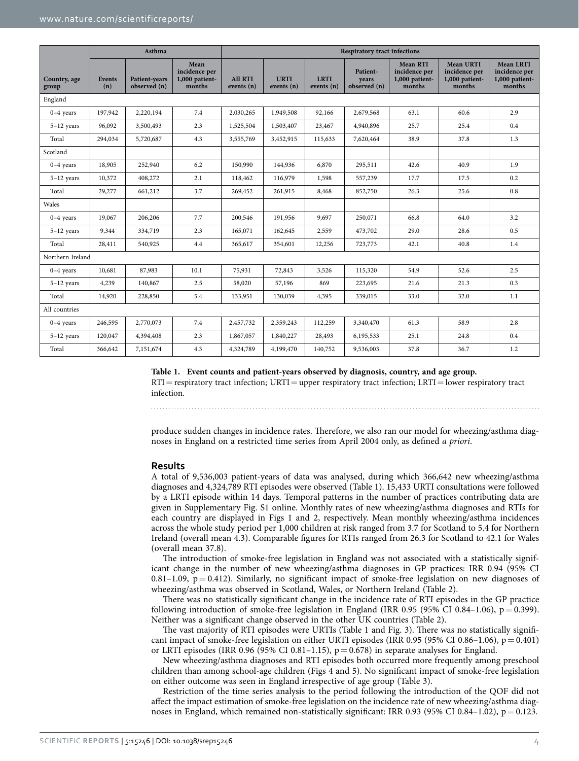<span id="page-3-0"></span>

|                       | Asthma               |                               |                                                   | <b>Respiratory tract infections</b> |                           |                           |                                   |                                                              |                                                               |                                                               |
|-----------------------|----------------------|-------------------------------|---------------------------------------------------|-------------------------------------|---------------------------|---------------------------|-----------------------------------|--------------------------------------------------------------|---------------------------------------------------------------|---------------------------------------------------------------|
| Country, age<br>group | <b>Events</b><br>(n) | Patient-years<br>observed (n) | Mean<br>incidence per<br>1,000 patient-<br>months | <b>All RTI</b><br>events $(n)$      | <b>URTI</b><br>events (n) | <b>LRTI</b><br>events (n) | Patient-<br>vears<br>observed (n) | <b>Mean RTI</b><br>incidence per<br>1,000 patient-<br>months | <b>Mean URTI</b><br>incidence per<br>1,000 patient-<br>months | <b>Mean LRTI</b><br>incidence per<br>1,000 patient-<br>months |
| England               |                      |                               |                                                   |                                     |                           |                           |                                   |                                                              |                                                               |                                                               |
| $0-4$ years           | 197,942              | 2,220,194                     | 7.4                                               | 2,030,265                           | 1,949,508                 | 92,166                    | 2,679,568                         | 63.1                                                         | 60.6                                                          | 2.9                                                           |
| $5-12$ years          | 96,092               | 3,500,493                     | 2.3                                               | 1,525,504                           | 1,503,407                 | 23,467                    | 4,940,896                         | 25.7                                                         | 25.4                                                          | 0.4                                                           |
| Total                 | 294,034              | 5,720,687                     | 4.3                                               | 3,555,769                           | 3,452,915                 | 115,633                   | 7,620,464                         | 38.9                                                         | 37.8                                                          | 1.3                                                           |
| Scotland              |                      |                               |                                                   |                                     |                           |                           |                                   |                                                              |                                                               |                                                               |
| $0-4$ years           | 18,905               | 252,940                       | 6.2                                               | 150,990                             | 144,936                   | 6,870                     | 295,511                           | 42.6                                                         | 40.9                                                          | 1.9                                                           |
| $5-12$ years          | 10,372               | 408,272                       | 2.1                                               | 118,462                             | 116,979                   | 1,598                     | 557,239                           | 17.7                                                         | 17.5                                                          | 0.2                                                           |
| Total                 | 29,277               | 661,212                       | 3.7                                               | 269,452                             | 261,915                   | 8,468                     | 852,750                           | 26.3                                                         | 25.6                                                          | 0.8                                                           |
| Wales                 |                      |                               |                                                   |                                     |                           |                           |                                   |                                                              |                                                               |                                                               |
| $0-4$ years           | 19,067               | 206,206                       | 7.7                                               | 200,546                             | 191,956                   | 9,697                     | 250,071                           | 66.8                                                         | 64.0                                                          | 3.2                                                           |
| $5-12$ years          | 9,344                | 334,719                       | 2.3                                               | 165,071                             | 162,645                   | 2,559                     | 473,702                           | 29.0                                                         | 28.6                                                          | 0.5                                                           |
| Total                 | 28,411               | 540,925                       | 4.4                                               | 365,617                             | 354,601                   | 12,256                    | 723,773                           | 42.1                                                         | 40.8                                                          | 1.4                                                           |
|                       | Northern Ireland     |                               |                                                   |                                     |                           |                           |                                   |                                                              |                                                               |                                                               |
| $0-4$ years           | 10,681               | 87,983                        | 10.1                                              | 75,931                              | 72,843                    | 3,526                     | 115,320                           | 54.9                                                         | 52.6                                                          | 2.5                                                           |
| $5-12$ years          | 4,239                | 140,867                       | 2.5                                               | 58,020                              | 57,196                    | 869                       | 223,695                           | 21.6                                                         | 21.3                                                          | 0.3                                                           |
| Total                 | 14,920               | 228,850                       | 5.4                                               | 133,951                             | 130,039                   | 4,395                     | 339,015                           | 33.0                                                         | 32.0                                                          | 1.1                                                           |
| All countries         |                      |                               |                                                   |                                     |                           |                           |                                   |                                                              |                                                               |                                                               |
| $0-4$ years           | 246,595              | 2,770,073                     | 7.4                                               | 2,457,732                           | 2,359,243                 | 112,259                   | 3,340,470                         | 61.3                                                         | 58.9                                                          | 2.8                                                           |
| $5-12$ years          | 120,047              | 4,394,408                     | 2.3                                               | 1,867,057                           | 1,840,227                 | 28,493                    | 6,195,533                         | 25.1                                                         | 24.8                                                          | 0.4                                                           |
| Total                 | 366,642              | 7,151,674                     | 4.3                                               | 4,324,789                           | 4,199,470                 | 140,752                   | 9,536,003                         | 37.8                                                         | 36.7                                                          | 1.2                                                           |

**Table 1. Event counts and patient-years observed by diagnosis, country, and age group.**

 $RTI =$  respiratory tract infection;  $URTI =$  upper respiratory tract infection;  $LRTI =$  lower respiratory tract infection.

produce sudden changes in incidence rates. Therefore, we also ran our model for wheezing/asthma diagnoses in England on a restricted time series from April 2004 only, as defined *a priori*.

#### **Results**

A total of 9,536,003 patient-years of data was analysed, during which 366,642 new wheezing/asthma diagnoses and 4,324,789 RTI episodes were observed ([Table 1\)](#page-3-0). 15,433 URTI consultations were followed by a LRTI episode within 14 days. Temporal patterns in the number of practices contributing data are given in Supplementary Fig. S1 online. Monthly rates of new wheezing/asthma diagnoses and RTIs for each country are displayed in Figs 1 and [2](#page-4-1), respectively. Mean monthly wheezing/asthma incidences across the whole study period per 1,000 children at risk ranged from 3.7 for Scotland to 5.4 for Northern Ireland (overall mean 4.3). Comparable figures for RTIs ranged from 26.3 for Scotland to 42.1 for Wales (overall mean 37.8).

The introduction of smoke-free legislation in England was not associated with a statistically significant change in the number of new wheezing/asthma diagnoses in GP practices: IRR 0.94 (95% CI 0.81–1.09,  $p = 0.412$ ). Similarly, no significant impact of smoke-free legislation on new diagnoses of wheezing/asthma was observed in Scotland, Wales, or Northern Ireland [\(Table 2\)](#page-5-0).

There was no statistically significant change in the incidence rate of RTI episodes in the GP practice following introduction of smoke-free legislation in England (IRR 0.95 (95% CI 0.84–1.06),  $p = 0.399$ ). Neither was a significant change observed in the other UK countries [\(Table 2\)](#page-5-0).

The vast majority of RTI episodes were URTIs ([Table 1](#page-3-0) and [Fig. 3\)](#page-5-1). There was no statistically significant impact of smoke-free legislation on either URTI episodes (IRR 0.95 (95% CI 0.86–1.06),  $p = 0.401$ ) or LRTI episodes (IRR 0.96 (95% CI 0.81–1.15),  $p = 0.678$ ) in separate analyses for England.

New wheezing/asthma diagnoses and RTI episodes both occurred more frequently among preschool children than among school-age children ([Figs 4](#page-6-0) and [5\)](#page-6-1). No significant impact of smoke-free legislation on either outcome was seen in England irrespective of age group ([Table 3\)](#page-7-0).

Restriction of the time series analysis to the period following the introduction of the QOF did not affect the impact estimation of smoke-free legislation on the incidence rate of new wheezing/asthma diagnoses in England, which remained non-statistically significant: IRR 0.93 (95% CI 0.84–1.02),  $p = 0.123$ .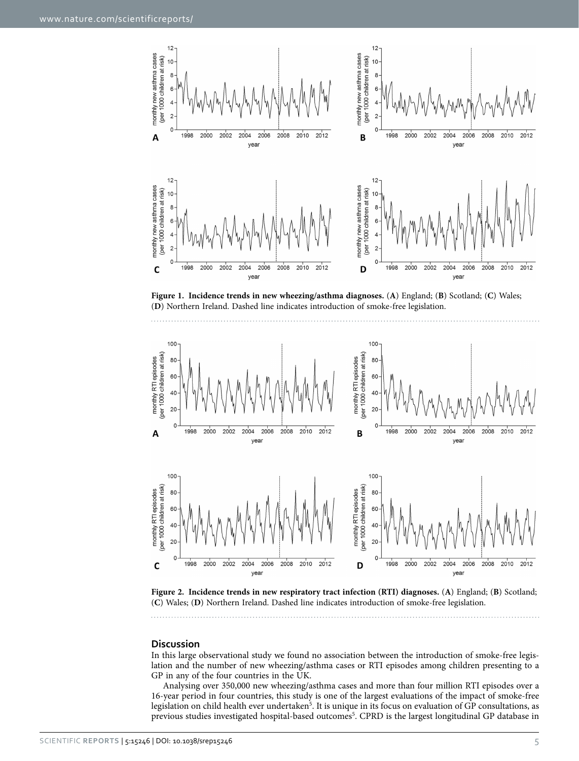

<span id="page-4-0"></span>**Figure 1. Incidence trends in new wheezing/asthma diagnoses.** (**A**) England; (**B**) Scotland; (**C**) Wales; (**D**) Northern Ireland. Dashed line indicates introduction of smoke-free legislation.



<span id="page-4-1"></span>**Figure 2. Incidence trends in new respiratory tract infection (RTI) diagnoses.** (**A**) England; (**B**) Scotland; (**C**) Wales; (**D**) Northern Ireland. Dashed line indicates introduction of smoke-free legislation.

#### **Discussion**

In this large observational study we found no association between the introduction of smoke-free legislation and the number of new wheezing/asthma cases or RTI episodes among children presenting to a GP in any of the four countries in the UK.

Analysing over 350,000 new wheezing/asthma cases and more than four million RTI episodes over a 16-year period in four countries, this study is one of the largest evaluations of the impact of smoke-free legislation on child health ever undertaken<sup>5</sup>. It is unique in its focus on evaluation of GP consultations, as previous studies investigated hospital-based outcomes<sup>5</sup>. CPRD is the largest longitudinal GP database in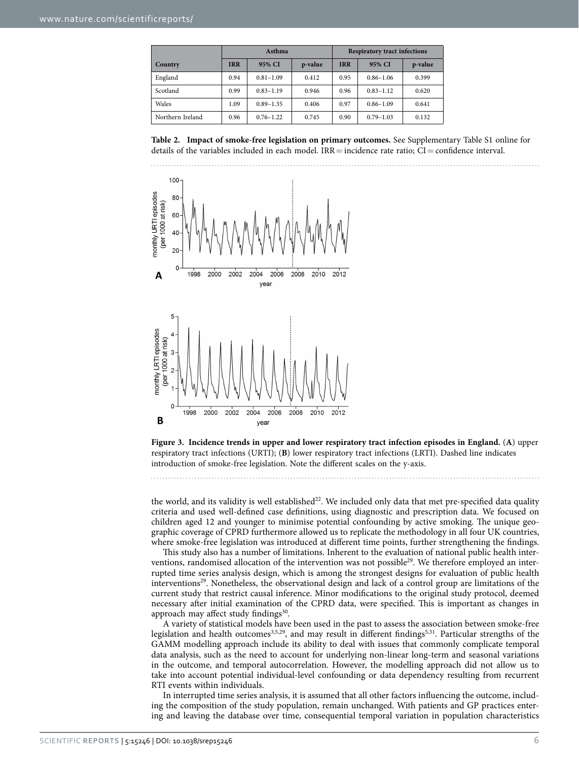<span id="page-5-0"></span>

|                  |            | Asthma        |         | <b>Respiratory tract infections</b> |               |         |  |
|------------------|------------|---------------|---------|-------------------------------------|---------------|---------|--|
| Country          | <b>IRR</b> | 95% CI        | p-value | <b>IRR</b>                          | 95% CI        | p-value |  |
| England          | 0.94       | $0.81 - 1.09$ | 0.412   | 0.95                                | $0.86 - 1.06$ | 0.399   |  |
| Scotland         | 0.99       | $0.83 - 1.19$ | 0.946   | 0.96                                | $0.83 - 1.12$ | 0.620   |  |
| Wales            | 1.09       | $0.89 - 1.35$ | 0.406   | 0.97                                | $0.86 - 1.09$ | 0.641   |  |
| Northern Ireland | 0.96       | $0.76 - 1.22$ | 0.745   | 0.90                                | $0.79 - 1.03$ | 0.132   |  |





<span id="page-5-1"></span>**Figure 3. Incidence trends in upper and lower respiratory tract infection episodes in England.** (**A**) upper respiratory tract infections (URTI); (**B**) lower respiratory tract infections (LRTI). Dashed line indicates introduction of smoke-free legislation. Note the different scales on the y-axis.

the world, and its validity is well established<sup>22</sup>. We included only data that met pre-specified data quality criteria and used well-defined case definitions, using diagnostic and prescription data. We focused on children aged 12 and younger to minimise potential confounding by active smoking. The unique geographic coverage of CPRD furthermore allowed us to replicate the methodology in all four UK countries, where smoke-free legislation was introduced at different time points, further strengthening the findings.

This study also has a number of limitations. Inherent to the evaluation of national public health interventions, randomised allocation of the intervention was not possible<sup>29</sup>. We therefore employed an interrupted time series analysis design, which is among the strongest designs for evaluation of public health interventions<sup>29</sup>. Nonetheless, the observational design and lack of a control group are limitations of the current study that restrict causal inference. Minor modifications to the original study protocol, deemed necessary after initial examination of the CPRD data, were specified. This is important as changes in approach may affect study findings<sup>30</sup>.

A variety of statistical models have been used in the past to assess the association between smoke-free legislation and health outcomes<sup>[3,](#page-8-2)[5](#page-8-4)[,29](#page-8-24)</sup>, and may result in different findings<sup>5,31</sup>. Particular strengths of the GAMM modelling approach include its ability to deal with issues that commonly complicate temporal data analysis, such as the need to account for underlying non-linear long-term and seasonal variations in the outcome, and temporal autocorrelation. However, the modelling approach did not allow us to take into account potential individual-level confounding or data dependency resulting from recurrent RTI events within individuals.

In interrupted time series analysis, it is assumed that all other factors influencing the outcome, including the composition of the study population, remain unchanged. With patients and GP practices entering and leaving the database over time, consequential temporal variation in population characteristics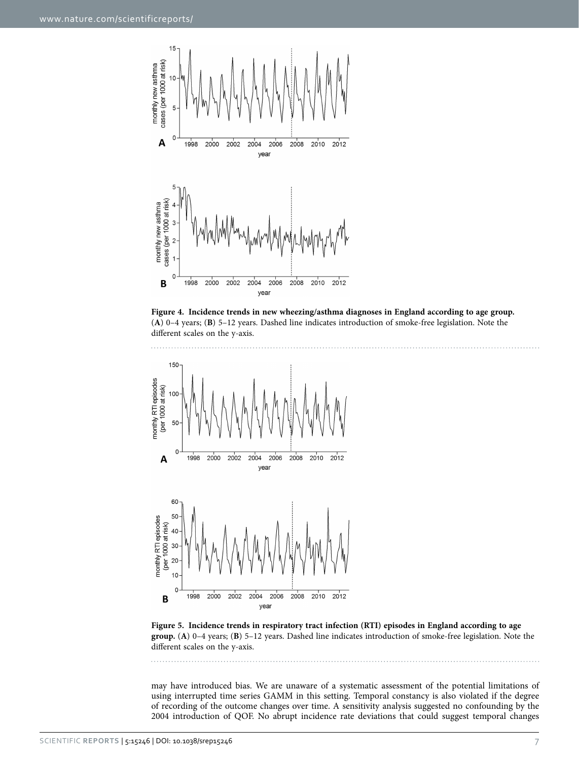

<span id="page-6-0"></span>



<span id="page-6-1"></span>

may have introduced bias. We are unaware of a systematic assessment of the potential limitations of using interrupted time series GAMM in this setting. Temporal constancy is also violated if the degree of recording of the outcome changes over time. A sensitivity analysis suggested no confounding by the 2004 introduction of QOF. No abrupt incidence rate deviations that could suggest temporal changes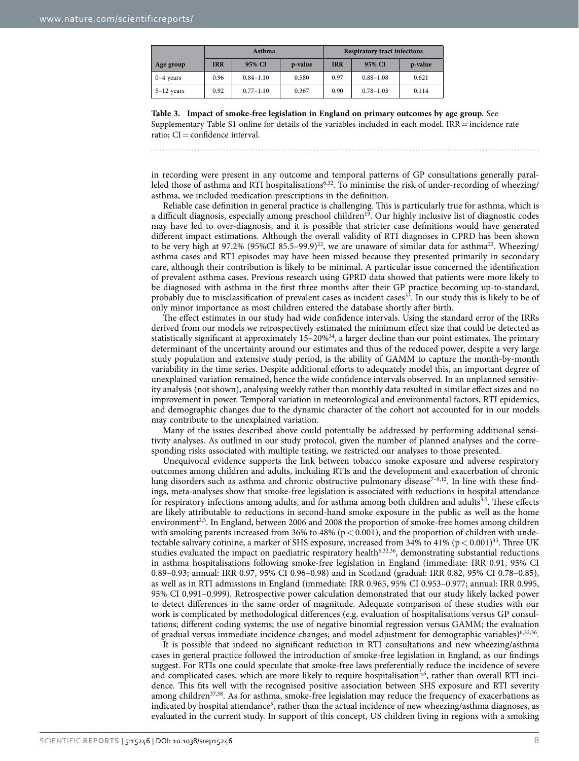<span id="page-7-0"></span>

|              |            | Asthma        |         | <b>Respiratory tract infections</b> |               |         |  |
|--------------|------------|---------------|---------|-------------------------------------|---------------|---------|--|
| Age group    | <b>IRR</b> | 95% CI        | p-value | <b>IRR</b>                          | 95% CI        | p-value |  |
| $0-4$ years  | 0.96       | $0.84 - 1.10$ | 0.580   | 0.97                                | $0.88 - 1.08$ | 0.621   |  |
| $5-12$ years | 0.92       | $0.77 - 1.10$ | 0.367   | 0.90                                | $0.78 - 1.03$ | 0.114   |  |

**Table 3. Impact of smoke-free legislation in England on primary outcomes by age group.** See Supplementary Table S1 online for details of the variables included in each model.  $IRR =$  incidence rate ratio:  $CI =$  confidence interval.

in recording were present in any outcome and temporal patterns of GP consultations generally paral-leled those of asthma and RTI hospitalisations<sup>[6,](#page-8-5)[32](#page-9-0)</sup>. To minimise the risk of under-recording of wheezing/ asthma, we included medication prescriptions in the definition.

Reliable case definition in general practice is challenging. This is particularly true for asthma, which is a difficult diagnosis, especially among preschool children<sup>19</sup>. Our highly inclusive list of diagnostic codes may have led to over-diagnosis, and it is possible that stricter case definitions would have generated different impact estimations. Although the overall validity of RTI diagnoses in CPRD has been shown to be very high at 97.2% (95%CI 85.5–99.9)<sup>22</sup>, we are unaware of similar data for asthma<sup>22</sup>. Wheezing/ asthma cases and RTI episodes may have been missed because they presented primarily in secondary care, although their contribution is likely to be minimal. A particular issue concerned the identification of prevalent asthma cases. Previous research using GPRD data showed that patients were more likely to be diagnosed with asthma in the first three months after their GP practice becoming up-to-standard, probably due to misclassification of prevalent cases as incident cases<sup>33</sup>. In our study this is likely to be of only minor importance as most children entered the database shortly after birth.

The effect estimates in our study had wide confidence intervals. Using the standard error of the IRRs derived from our models we retrospectively estimated the minimum effect size that could be detected as statistically significant at approximately  $15-20\%$ <sup>34</sup>, a larger decline than our point estimates. The primary determinant of the uncertainty around our estimates and thus of the reduced power, despite a very large study population and extensive study period, is the ability of GAMM to capture the month-by-month variability in the time series. Despite additional efforts to adequately model this, an important degree of unexplained variation remained, hence the wide confidence intervals observed. In an unplanned sensitivity analysis (not shown), analysing weekly rather than monthly data resulted in similar effect sizes and no improvement in power. Temporal variation in meteorological and environmental factors, RTI epidemics, and demographic changes due to the dynamic character of the cohort not accounted for in our models may contribute to the unexplained variation.

Many of the issues described above could potentially be addressed by performing additional sensitivity analyses. As outlined in our study protocol, given the number of planned analyses and the corresponding risks associated with multiple testing, we restricted our analyses to those presented.

Unequivocal evidence supports the link between tobacco smoke exposure and adverse respiratory outcomes among children and adults, including RTIs and the development and exacerbation of chronic lung disorders such as asthma and chronic obstructive pulmonary disease<sup>7-9,[12](#page-8-27)</sup>. In line with these findings, meta-analyses show that smoke-free legislation is associated with reductions in hospital attendance for respiratory infections among adults, and for asthma among both children and adults<sup>3,5</sup>. These effects are likely attributable to reductions in second-hand smoke exposure in the public as well as the home environment<sup>[2,](#page-8-1)5</sup>. In England, between 2006 and 2008 the proportion of smoke-free homes among children with smoking parents increased from 36% to 48% ( $p < 0.001$ ), and the proportion of children with undetectable salivary cotinine, a marker of SHS exposure, increased from 34% to 41% ( $p < 0.001$ )<sup>35</sup>. Three UK studies evaluated the impact on paediatric respiratory health<sup>6,[32,](#page-9-3)[36](#page-9-4)</sup>, demonstrating substantial reductions in asthma hospitalisations following smoke-free legislation in England (immediate: IRR 0.91, 95% CI 0.89–0.93; annual: IRR 0.97, 95% CI 0.96–0.98) and in Scotland (gradual: IRR 0.82, 95% CI 0.78–0.85), as well as in RTI admissions in England (immediate: IRR 0.965, 95% CI 0.953–0.977; annual: IRR 0.995, 95% CI 0.991–0.999). Retrospective power calculation demonstrated that our study likely lacked power to detect differences in the same order of magnitude. Adequate comparison of these studies with our work is complicated by methodological differences (e.g. evaluation of hospitalisations versus GP consultations; different coding systems; the use of negative binomial regression versus GAMM; the evaluation of gradual versus immediate incidence changes; and model adjustment for demographic variables)[6,](#page-8-5)[32](#page-9-3)[,36](#page-9-4).

It is possible that indeed no significant reduction in RTI consultations and new wheezing/asthma cases in general practice followed the introduction of smoke-free legislation in England, as our findings suggest. For RTIs one could speculate that smoke-free laws preferentially reduce the incidence of severe and complicated cases, which are more likely to require hospitalisation<sup>3,6</sup>, rather than overall RTI incidence. This fits well with the recognised positive association between SHS exposure and RTI severity among children<sup>37[,38](#page-9-6)</sup>. As for asthma, smoke-free legislation may reduce the frequency of exacerbations as indicated by hospital attendance<sup>5</sup>, rather than the actual incidence of new wheezing/asthma diagnoses, as evaluated in the current study. In support of this concept, US children living in regions with a smoking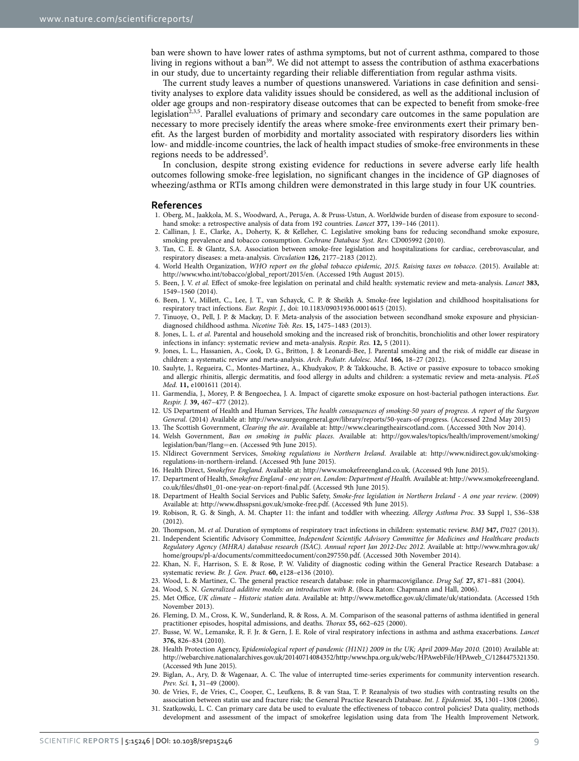ban were shown to have lower rates of asthma symptoms, but not of current asthma, compared to those living in regions without a ban<sup>39</sup>. We did not attempt to assess the contribution of asthma exacerbations in our study, due to uncertainty regarding their reliable differentiation from regular asthma visits.

The current study leaves a number of questions unanswered. Variations in case definition and sensitivity analyses to explore data validity issues should be considered, as well as the additional inclusion of older age groups and non-respiratory disease outcomes that can be expected to benefit from smoke-free legislation<sup>2,[3,](#page-8-2)[5](#page-8-4)</sup>. Parallel evaluations of primary and secondary care outcomes in the same population are necessary to more precisely identify the areas where smoke-free environments exert their primary benefit. As the largest burden of morbidity and mortality associated with respiratory disorders lies within low- and middle-income countries, the lack of health impact studies of smoke-free environments in these regions needs to be addressed<sup>[5](#page-8-4)</sup>.

In conclusion, despite strong existing evidence for reductions in severe adverse early life health outcomes following smoke-free legislation, no significant changes in the incidence of GP diagnoses of wheezing/asthma or RTIs among children were demonstrated in this large study in four UK countries.

#### **References**

- <span id="page-8-0"></span>1. Oberg, M., Jaakkola, M. S., Woodward, A., Peruga, A. & Pruss-Ustun, A. Worldwide burden of disease from exposure to secondhand smoke: a retrospective analysis of data from 192 countries. *Lancet* **377,** 139–146 (2011).
- <span id="page-8-1"></span>2. Callinan, J. E., Clarke, A., Doherty, K. & Kelleher, C. Legislative smoking bans for reducing secondhand smoke exposure, smoking prevalence and tobacco consumption. *Cochrane Database Syst. Rev.* CD005992 (2010).
- <span id="page-8-2"></span>3. Tan, C. E. & Glantz, S.A. Association between smoke-free legislation and hospitalizations for cardiac, cerebrovascular, and respiratory diseases: a meta-analysis. *Circulation* **126,** 2177–2183 (2012).
- <span id="page-8-3"></span>4. World Health Organization, *WHO report on the global tobacco epidemic, 2015. Raising taxes on tobacco*. (2015). Available at: [http://www.who.int/tobacco/global\\_report/2015/en.](http://www.who.int/tobacco/global_report/2015/en) (Accessed 19th August 2015).
- <span id="page-8-4"></span>5. Been, J. V. *et al.* Effect of smoke-free legislation on perinatal and child health: systematic review and meta-analysis. *Lancet* **383,** 1549–1560 (2014).
- <span id="page-8-5"></span>6. Been, J. V., Millett, C., Lee, J. T., van Schayck, C. P. & Sheikh A. Smoke-free legislation and childhood hospitalisations for respiratory tract infections. *Eur. Respir. J.*, doi: 10.1183/09031936.00014615 (2015).
- <span id="page-8-6"></span>7. Tinuoye, O., Pell, J. P. & Mackay, D. F. Meta-analysis of the association between secondhand smoke exposure and physiciandiagnosed childhood asthma. *Nicotine Tob. Res.* **15,** 1475–1483 (2013).
- 8. Jones, L. L. et al. Parental and household smoking and the increased risk of bronchitis, bronchiolitis and other lower respiratory infections in infancy: systematic review and meta-analysis. *Respir. Res.* **12,** 5 (2011).
- 9. Jones, L. L., Hassanien, A., Cook, D. G., Britton, J. & Leonardi-Bee, J. Parental smoking and the risk of middle ear disease in children: a systematic review and meta-analysis. *Arch. Pediatr. Adolesc. Med.* **166,** 18–27 (2012).
- <span id="page-8-7"></span>10. Saulyte, J., Regueira, C., Montes-Martinez, A., Khudyakov, P. & Takkouche, B. Active or passive exposure to tobacco smoking and allergic rhinitis, allergic dermatitis, and food allergy in adults and children: a systematic review and meta-analysis. *PLoS Med.* **11,** e1001611 (2014).
- 11. Garmendia, J., Morey, P. & Bengoechea, J. A. Impact of cigarette smoke exposure on host-bacterial pathogen interactions. *Eur. Respir. J.* **39,** 467–477 (2012).
- <span id="page-8-27"></span>12. US Department of Health and Human Services, T*he health consequences of smoking-50 years of progress. A report of the Surgeon General*. (2014) Available at: [http://www.surgeongeneral.gov/library/reports/50-years-of-progress.](http://www.surgeongeneral.gov/library/reports/50-years-of-progress) (Accessed 22nd May 2015)
- <span id="page-8-8"></span>13. The Scottish Government, *Clearing the air*. Available at: [http://www.clearingtheairscotland.com.](http://www.clearingtheairscotland.com) (Accessed 30th Nov 2014).
- <span id="page-8-9"></span>14. Welsh Government, *Ban on smoking in public places*. Available at: [http://gov.wales/topics/health/improvement/smoking/](http://gov.wales/topics/health/improvement/smoking/legislation/ban/?lang=en) [legislation/ban/?lang](http://gov.wales/topics/health/improvement/smoking/legislation/ban/?lang=en)=en. (Accessed 9th June 2015).
- <span id="page-8-10"></span>15. NIdirect Government Services, *Smoking regulations in Northern Ireland*. Available at: [http://www.nidirect.gov.uk/smoking](http://www.nidirect.gov.uk/smoking-regulations-in-northern-ireland)[regulations-in-northern-ireland](http://www.nidirect.gov.uk/smoking-regulations-in-northern-ireland). (Accessed 9th June 2015).
- <span id="page-8-11"></span>16. Health Direct, *Smokefree England*. Available at: <http://www.smokefreeengland.co.uk>. (Accessed 9th June 2015).
- <span id="page-8-12"></span>17. Department of Health, *Smokefree England - one year on. London: Department of Health.* Available at: [http://www.smokefreeengland.](http://www.smokefreeengland.co.uk/files/dhs01_01-one-year-on-report-final.pdf) [co.uk/files/dhs01\\_01-one-year-on-report-final.pdf](http://www.smokefreeengland.co.uk/files/dhs01_01-one-year-on-report-final.pdf). (Accessed 9th June 2015).
- <span id="page-8-13"></span>18. Department of Health Social Services and Public Safety, *Smoke-free legislation in Northern Ireland - A one year review*. (2009) Available at: [http://www.dhsspsni.gov.uk/smoke-free.pdf.](http://www.dhsspsni.gov.uk/smoke-free.pdf) (Accessed 9th June 2015).
- <span id="page-8-14"></span>19. Robison, R. G. & Singh, A. M. Chapter 11: the infant and toddler with wheezing. *Allergy Asthma Proc.* **33** Suppl 1, S36–S38 (2012).
- <span id="page-8-15"></span>20. Thompson, M. *et al.* Duration of symptoms of respiratory tract infections in children: systematic review. *BMJ* **347,** f7027 (2013).
- <span id="page-8-16"></span>21. Independent Scientific Advisory Committee, *Independent Scientific Advisory Committee for Medicines and Healthcare products Regulatory Agency (MHRA) database research (ISAC). Annual report Jan 2012-Dec 2012*. Available at: [http://www.mhra.gov.uk/](http://www.mhra.gov.uk/home/groups/pl-a/documents/committeedocument/con297550.pdf) [home/groups/pl-a/documents/committeedocument/con297550.pdf.](http://www.mhra.gov.uk/home/groups/pl-a/documents/committeedocument/con297550.pdf) (Accessed 30th November 2014).
- <span id="page-8-17"></span>22. Khan, N. F., Harrison, S. E. & Rose, P. W. Validity of diagnostic coding within the General Practice Research Database: a systematic review. *Br. J. Gen. Pract.* **60,** e128–e136 (2010).
- <span id="page-8-18"></span>23. Wood, L. & Martinez, C. The general practice research database: role in pharmacovigilance. *Drug Saf.* **27,** 871–881 (2004).
- <span id="page-8-20"></span><span id="page-8-19"></span>24. Wood, S. N. *Generalized additive models: an introduction with R*. (Boca Raton: Chapmann and Hall, 2006).
- 25. Met Office, *UK climate Historic station data*. Available at: [http://www.metoffice.gov.uk/climate/uk/stationdata.](http://www.metoffice.gov.uk/climate/uk/stationdata) (Accessed 15th November 2013).
- <span id="page-8-21"></span>26. Fleming, D. M., Cross, K. W., Sunderland, R. & Ross, A. M. Comparison of the seasonal patterns of asthma identified in general practitioner episodes, hospital admissions, and deaths. *Thorax* **55,** 662–625 (2000).
- <span id="page-8-22"></span>27. Busse, W. W., Lemanske, R. F. Jr. & Gern, J. E. Role of viral respiratory infections in asthma and asthma exacerbations. *Lancet* **376,** 826–834 (2010).
- <span id="page-8-23"></span>28. Health Protection Agency, E*pidemiological report of pandemic (H1N1) 2009 in the UK; April 2009-May 2010.* (2010) Available at: [http://webarchive.nationalarchives.gov.uk/20140714084352/http:/www.hpa.org.uk/webc/HPAwebFile/HPAweb\\_C/1284475321350.](http://webarchive.nationalarchives.gov.uk/20140714084352/http:/www.hpa.org.uk/webc/HPAwebFile/HPAweb_C/1284475321350) (Accessed 9th June 2015).
- <span id="page-8-24"></span>29. Biglan, A., Ary, D. & Wagenaar, A. C. The value of interrupted time-series experiments for community intervention research. *Prev. Sci.* **1,** 31–49 (2000).
- <span id="page-8-25"></span>30. de Vries, F., de Vries, C., Cooper, C., Leufkens, B. & van Staa, T. P. Reanalysis of two studies with contrasting results on the association between statin use and fracture risk: the General Practice Research Database. *Int. J. Epidemiol.* **35,** 1301–1308 (2006).
- <span id="page-8-26"></span>31. Szatkowski, L. C. Can primary care data be used to evaluate the effectiveness of tobacco control policies? Data quality, methods development and assessment of the impact of smokefree legislation using data from The Health Improvement Network.